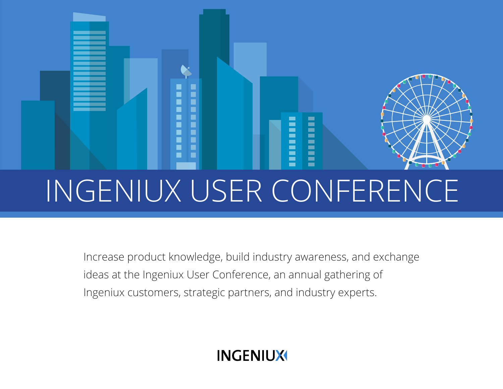# Ξ Ē INGENIUX USER CONFERENCE

Increase product knowledge, build industry awareness, and exchange ideas at the Ingeniux User Conference, an annual gathering of Ingeniux customers, strategic partners, and industry experts.

**INGENIUX**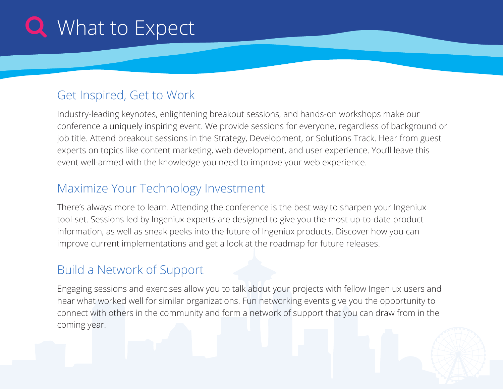## **Q** What to Expect

### Get Inspired, Get to Work

Industry-leading keynotes, enlightening breakout sessions, and hands-on workshops make our conference a uniquely inspiring event. We provide sessions for everyone, regardless of background or job title. Attend breakout sessions in the Strategy, Development, or Solutions Track. Hear from guest experts on topics like content marketing, web development, and user experience. You'll leave this event well-armed with the knowledge you need to improve your web experience.

### Maximize Your Technology Investment

There's always more to learn. Attending the conference is the best way to sharpen your Ingeniux tool-set. Sessions led by Ingeniux experts are designed to give you the most up-to-date product information, as well as sneak peeks into the future of Ingeniux products. Discover how you can improve current implementations and get a look at the roadmap for future releases.

### Build a Network of Support

Engaging sessions and exercises allow you to talk about your projects with fellow Ingeniux users and hear what worked well for similar organizations. Fun networking events give you the opportunity to connect with others in the community and form a network of support that you can draw from in the coming year.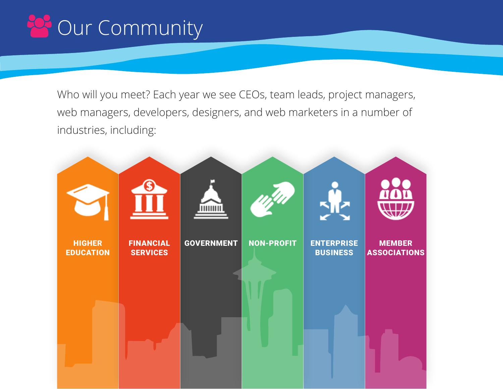# **28 Our Community**

Who will you meet? Each year we see CEOs, team leads, project managers, web managers, developers, designers, and web marketers in a number of industries, including:

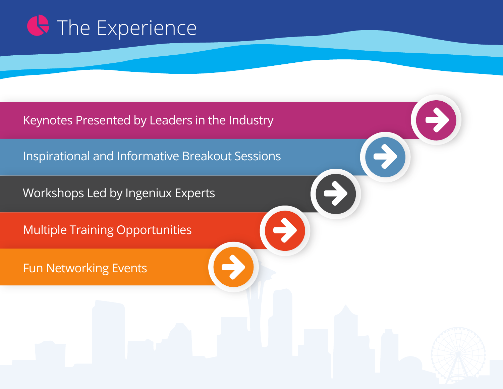# **G** The Experience

Keynotes Presented by Leaders in the Industry

Inspirational and Informative Breakout Sessions

Workshops Led by Ingeniux Experts

Multiple Training Opportunities

Fun Networking Events



 $\rightarrow$ 

 $\rightarrow$ 

 $\rightarrow$ 

 $\rightarrow$ 

 $\rightarrow$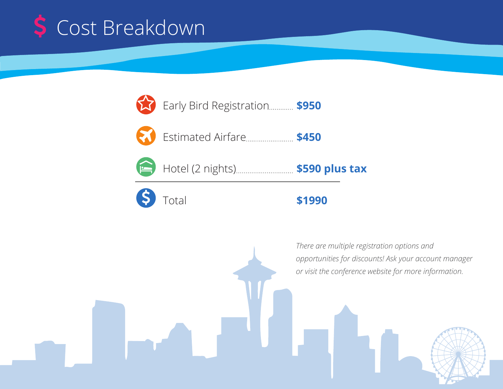



Hotel (2 nights) **\$590 plus tax**



#### **\$1990**

*There are multiple registration options and opportunities for discounts! Ask your account manager or visit the conference website for more information.*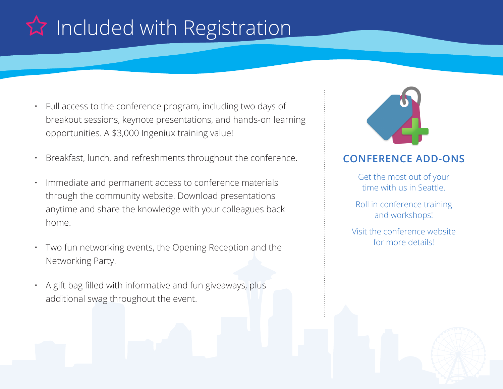# **A** Included with Registration

- Full access to the conference program, including two days of breakout sessions, keynote presentations, and hands-on learning opportunities. A \$3,000 Ingeniux training value!
- Breakfast, lunch, and refreshments throughout the conference.
- Immediate and permanent access to conference materials through the community website. Download presentations anytime and share the knowledge with your colleagues back home.
- Two fun networking events, the Opening Reception and the Networking Party.
- A gift bag filled with informative and fun giveaways, plus additional swag throughout the event.



#### **CONFERENCE ADD-ONS**

Get the most out of your time with us in Seattle.

Roll in conference training and workshops!

Visit the conference website for more details!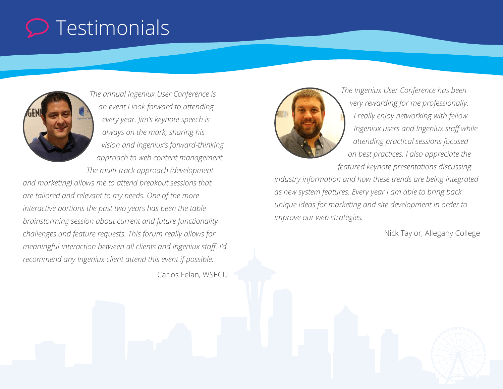### $\mathcal D$  Testimonials



*The annual Ingeniux User Conference is an event I look forward to attending every year. Jim's keynote speech is always on the mark; sharing his vision and Ingeniux's forward-thinking approach to web content management. The multi-track approach (development* 

*and marketing) allows me to attend breakout sessions that are tailored and relevant to my needs. One of the more interactive portions the past two years has been the table brainstorming session about current and future functionality challenges and feature requests. This forum really allows for meaningful interaction between all clients and Ingeniux staff. I'd recommend any Ingeniux client attend this event if possible.*

Carlos Felan, WSECU



*The Ingeniux User Conference has been very rewarding for me professionally. I really enjoy networking with fellow Ingeniux users and Ingeniux staff while attending practical sessions focused on best practices. I also appreciate the featured keynote presentations discussing* 

*industry information and how these trends are being integrated as new system features. Every year I am able to bring back unique ideas for marketing and site development in order to improve our web strategies.*

Nick Taylor, Allegany College